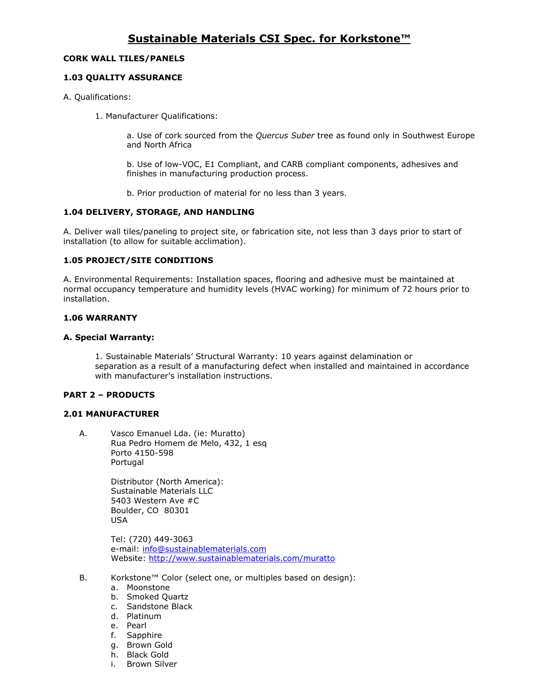## **CORK WALL TILES/PANELS**

## **1.03 QUALITY ASSURANCE**

- A. Qualifications:
	- 1. Manufacturer Qualifications:

a. Use of cork sourced from the *Quercus Suber* tree as found only in Southwest Europe and North Africa

b. Use of low-VOC, E1 Compliant, and CARB compliant components, adhesives and finishes in manufacturing production process.

b. Prior production of material for no less than 3 years.

## **1.04 DELIVERY, STORAGE, AND HANDLING**

A. Deliver wall tiles/paneling to project site, or fabrication site, not less than 3 days prior to start of installation (to allow for suitable acclimation).

## **1.05 PROJECT/SITE CONDITIONS**

A. Environmental Requirements: Installation spaces, flooring and adhesive must be maintained at normal occupancy temperature and humidity levels (HVAC working) for minimum of 72 hours prior to installation.

## **1.06 WARRANTY**

## **A. Special Warranty:**

1. Sustainable Materials' Structural Warranty: 10 years against delamination or separation as a result of a manufacturing defect when installed and maintained in accordance with manufacturer's installation instructions.

## **PART 2 – PRODUCTS**

#### **2.01 MANUFACTURER**

A. Vasco Emanuel Lda. (ie: Muratto) Rua Pedro Homem de Melo, 432, 1 esq Porto 4150-598 Portugal

> Distributor (North America): Sustainable Materials LLC 5403 Western Ave #C Boulder, CO 80301 USA

Tel: (720) 449-3063 e-mail: [info@sustainablematerials.com](mailto:info@sustainablematerials.com) Website:<http://www.sustainablematerials.com/muratto>

- B. Korkstone™ Color (select one, or multiples based on design):
	- a. Moonstone
	- b. Smoked Quartz
	- c. Sandstone Black
	- d. Platinum
	- e. Pearl
	- f. Sapphire
	- g. Brown Gold
	- h. Black Gold
	- i. Brown Silver